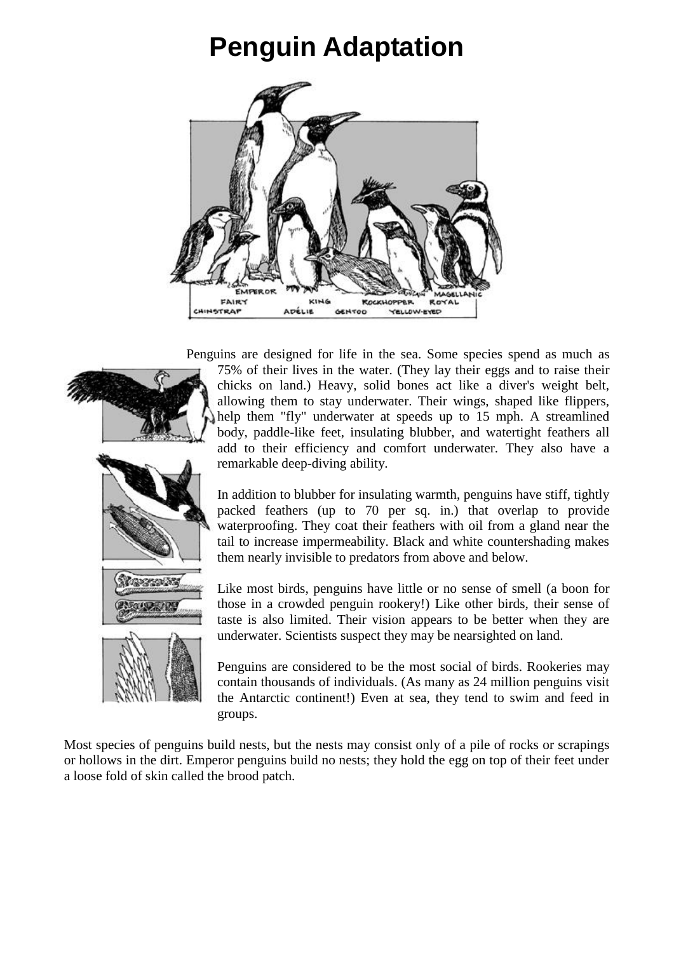## **Penguin Adaptation**



Penguins are designed for life in the sea. Some species spend as much as



75% of their lives in the water. (They lay their eggs and to raise their chicks on land.) Heavy, solid bones act like a diver's weight belt, allowing them to stay underwater. Their wings, shaped like flippers, help them "fly" underwater at speeds up to 15 mph. A streamlined body, paddle-like feet, insulating blubber, and watertight feathers all add to their efficiency and comfort underwater. They also have a remarkable deep-diving ability.

In addition to blubber for insulating warmth, penguins have stiff, tightly packed feathers (up to 70 per sq. in.) that overlap to provide waterproofing. They coat their feathers with oil from a gland near the tail to increase impermeability. Black and white countershading makes them nearly invisible to predators from above and below.

Like most birds, penguins have little or no sense of smell (a boon for those in a crowded penguin rookery!) Like other birds, their sense of taste is also limited. Their vision appears to be better when they are underwater. Scientists suspect they may be nearsighted on land.

Penguins are considered to be the most social of birds. Rookeries may contain thousands of individuals. (As many as 24 million penguins visit the Antarctic continent!) Even at sea, they tend to swim and feed in groups.

Most species of penguins build nests, but the nests may consist only of a pile of rocks or scrapings or hollows in the dirt. Emperor penguins build no nests; they hold the egg on top of their feet under a loose fold of skin called the brood patch.